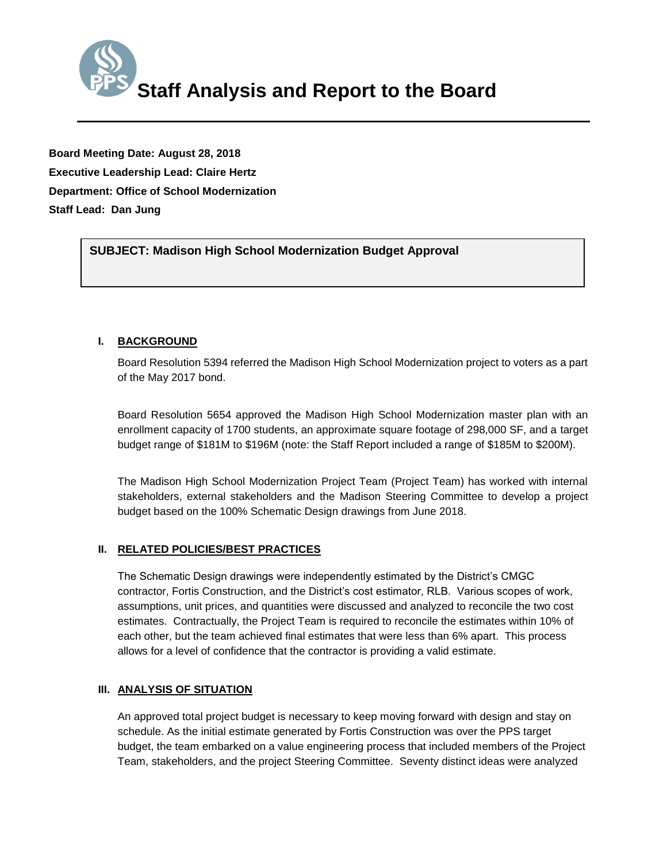

**Board Meeting Date: August 28, 2018 Executive Leadership Lead: Claire Hertz Department: Office of School Modernization Staff Lead: Dan Jung**

*(Use this section to briefly explain the item—2-3 sentences)* **SUBJECT: Madison High School Modernization Budget Approval**

# **I. BACKGROUND**

Board Resolution 5394 referred the Madison High School Modernization project to voters as a part of the May 2017 bond.

Board Resolution 5654 approved the Madison High School Modernization master plan with an enrollment capacity of 1700 students, an approximate square footage of 298,000 SF, and a target budget range of \$181M to \$196M (note: the Staff Report included a range of \$185M to \$200M).

The Madison High School Modernization Project Team (Project Team) has worked with internal stakeholders, external stakeholders and the Madison Steering Committee to develop a project budget based on the 100% Schematic Design drawings from June 2018.

# **II. RELATED POLICIES/BEST PRACTICES**

The Schematic Design drawings were independently estimated by the District's CMGC contractor, Fortis Construction, and the District's cost estimator, RLB. Various scopes of work, assumptions, unit prices, and quantities were discussed and analyzed to reconcile the two cost estimates. Contractually, the Project Team is required to reconcile the estimates within 10% of each other, but the team achieved final estimates that were less than 6% apart. This process allows for a level of confidence that the contractor is providing a valid estimate.

## **III. ANALYSIS OF SITUATION**

An approved total project budget is necessary to keep moving forward with design and stay on schedule. As the initial estimate generated by Fortis Construction was over the PPS target budget, the team embarked on a value engineering process that included members of the Project Team, stakeholders, and the project Steering Committee. Seventy distinct ideas were analyzed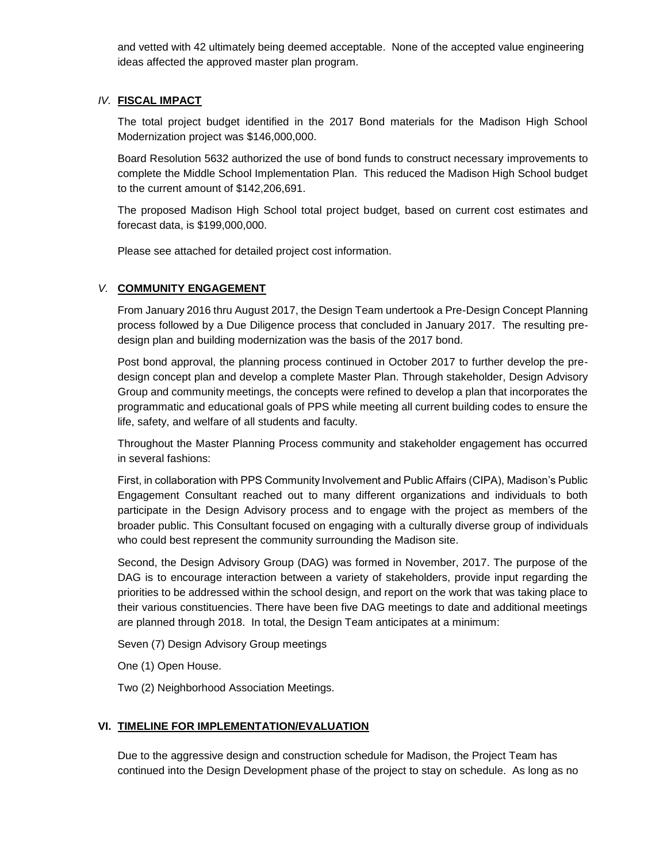and vetted with 42 ultimately being deemed acceptable. None of the accepted value engineering ideas affected the approved master plan program.

### *IV.* **FISCAL IMPACT**

The total project budget identified in the 2017 Bond materials for the Madison High School Modernization project was \$146,000,000.

Board Resolution 5632 authorized the use of bond funds to construct necessary improvements to complete the Middle School Implementation Plan. This reduced the Madison High School budget to the current amount of \$142,206,691.

The proposed Madison High School total project budget, based on current cost estimates and forecast data, is \$199,000,000.

Please see attached for detailed project cost information.

## *V.* **COMMUNITY ENGAGEMENT**

From January 2016 thru August 2017, the Design Team undertook a Pre-Design Concept Planning process followed by a Due Diligence process that concluded in January 2017. The resulting predesign plan and building modernization was the basis of the 2017 bond.

Post bond approval, the planning process continued in October 2017 to further develop the predesign concept plan and develop a complete Master Plan. Through stakeholder, Design Advisory Group and community meetings, the concepts were refined to develop a plan that incorporates the programmatic and educational goals of PPS while meeting all current building codes to ensure the life, safety, and welfare of all students and faculty.

Throughout the Master Planning Process community and stakeholder engagement has occurred in several fashions:

First, in collaboration with PPS Community Involvement and Public Affairs (CIPA), Madison's Public Engagement Consultant reached out to many different organizations and individuals to both participate in the Design Advisory process and to engage with the project as members of the broader public. This Consultant focused on engaging with a culturally diverse group of individuals who could best represent the community surrounding the Madison site.

Second, the Design Advisory Group (DAG) was formed in November, 2017. The purpose of the DAG is to encourage interaction between a variety of stakeholders, provide input regarding the priorities to be addressed within the school design, and report on the work that was taking place to their various constituencies. There have been five DAG meetings to date and additional meetings are planned through 2018. In total, the Design Team anticipates at a minimum:

Seven (7) Design Advisory Group meetings

One (1) Open House.

Two (2) Neighborhood Association Meetings.

### **VI. TIMELINE FOR IMPLEMENTATION/EVALUATION**

Due to the aggressive design and construction schedule for Madison, the Project Team has continued into the Design Development phase of the project to stay on schedule. As long as no